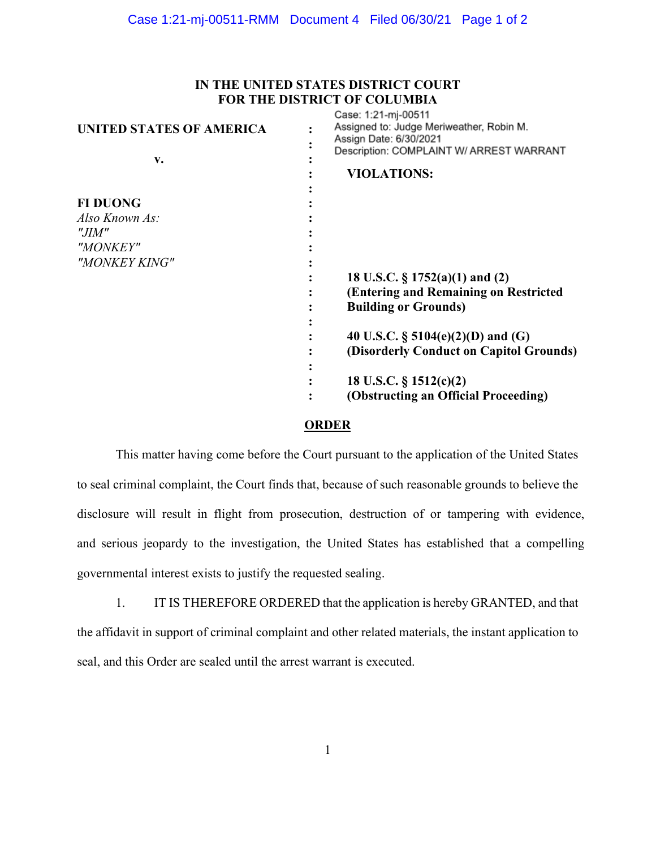## **IN THE UNITED STATES DISTRICT COURT FOR THE DISTRICT OF COLUMBIA**

| UNITED STATES OF AMERICA<br>v. | Case: 1:21-m-00511<br>Assigned to: Judge Meriweather, Robin M.<br>Assign Date: 6/30/2021<br>Description: COMPLAINT W/ ARREST WARRANT |
|--------------------------------|--------------------------------------------------------------------------------------------------------------------------------------|
|                                | <b>VIOLATIONS:</b>                                                                                                                   |
|                                |                                                                                                                                      |
| <b>FI DUONG</b>                |                                                                                                                                      |
| Also Known As:                 |                                                                                                                                      |
| "JIM"                          |                                                                                                                                      |
| "MONKEY"                       |                                                                                                                                      |
| "MONKEY KING"                  |                                                                                                                                      |
|                                | 18 U.S.C. $\S 1752(a)(1)$ and (2)                                                                                                    |
|                                | (Entering and Remaining on Restricted                                                                                                |
|                                | <b>Building or Grounds)</b>                                                                                                          |
|                                |                                                                                                                                      |
|                                | 40 U.S.C. $\S$ 5104(e)(2)(D) and (G)                                                                                                 |
|                                | (Disorderly Conduct on Capitol Grounds)                                                                                              |
|                                |                                                                                                                                      |
|                                | 18 U.S.C. $\S$ 1512(c)(2)                                                                                                            |
|                                | (Obstructing an Official Proceeding)                                                                                                 |
|                                |                                                                                                                                      |

## **ORDER**

This matter having come before the Court pursuant to the application of the United States to seal criminal complaint, the Court finds that, because of such reasonable grounds to believe the disclosure will result in flight from prosecution, destruction of or tampering with evidence, and serious jeopardy to the investigation, the United States has established that a compelling governmental interest exists to justify the requested sealing.

1. IT IS THEREFORE ORDERED that the application is hereby GRANTED, and that the affidavit in support of criminal complaint and other related materials, the instant application to seal, and this Order are sealed until the arrest warrant is executed.